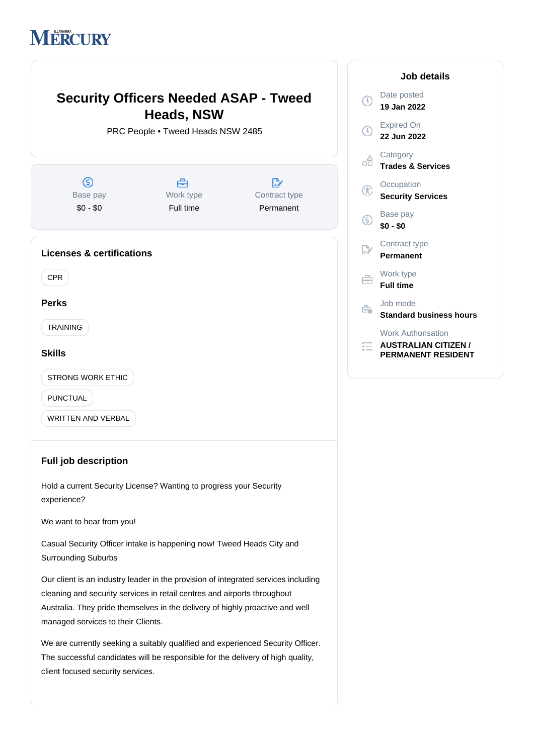# **MERCURY**



Hold a current Security License? Wanting to progress your Security experience?

We want to hear from you!

Casual Security Officer intake is happening now! Tweed Heads City and Surrounding Suburbs

Our client is an industry leader in the provision of integrated services including cleaning and security services in retail centres and airports throughout Australia. They pride themselves in the delivery of highly proactive and well managed services to their Clients.

We are currently seeking a suitably qualified and experienced Security Officer. The successful candidates will be responsible for the delivery of high quality, client focused security services.

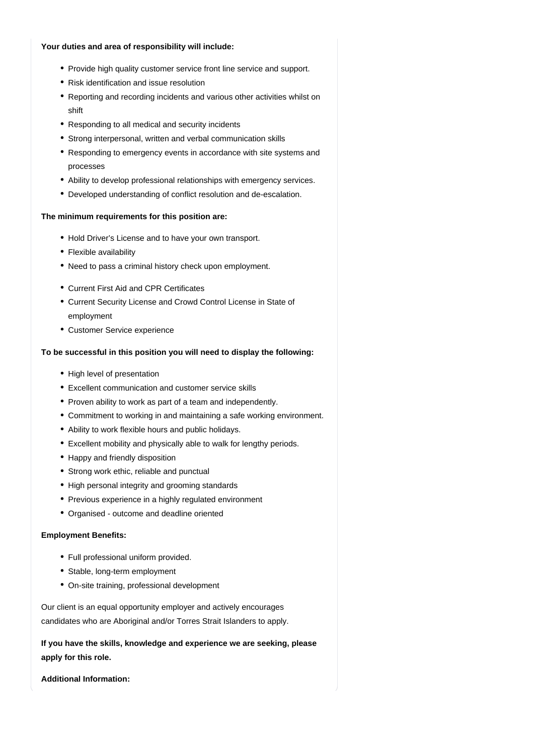# **Your duties and area of responsibility will include:**

- Provide high quality customer service front line service and support.
- Risk identification and issue resolution
- Reporting and recording incidents and various other activities whilst on shift
- Responding to all medical and security incidents
- Strong interpersonal, written and verbal communication skills
- Responding to emergency events in accordance with site systems and processes
- Ability to develop professional relationships with emergency services.
- Developed understanding of conflict resolution and de-escalation.

### **The minimum requirements for this position are:**

- Hold Driver's License and to have your own transport.
- Flexible availability
- Need to pass a criminal history check upon employment.
- Current First Aid and CPR Certificates
- Current Security License and Crowd Control License in State of employment
- Customer Service experience

## **To be successful in this position you will need to display the following:**

- High level of presentation
- Excellent communication and customer service skills
- Proven ability to work as part of a team and independently.
- Commitment to working in and maintaining a safe working environment.
- Ability to work flexible hours and public holidays.
- Excellent mobility and physically able to walk for lengthy periods.
- Happy and friendly disposition
- Strong work ethic, reliable and punctual
- High personal integrity and grooming standards
- Previous experience in a highly regulated environment
- Organised outcome and deadline oriented

# **Employment Benefits:**

- Full professional uniform provided.
- Stable, long-term employment
- On-site training, professional development

Our client is an equal opportunity employer and actively encourages candidates who are Aboriginal and/or Torres Strait Islanders to apply.

**If you have the skills, knowledge and experience we are seeking, please apply for this role.**

**Additional Information:**